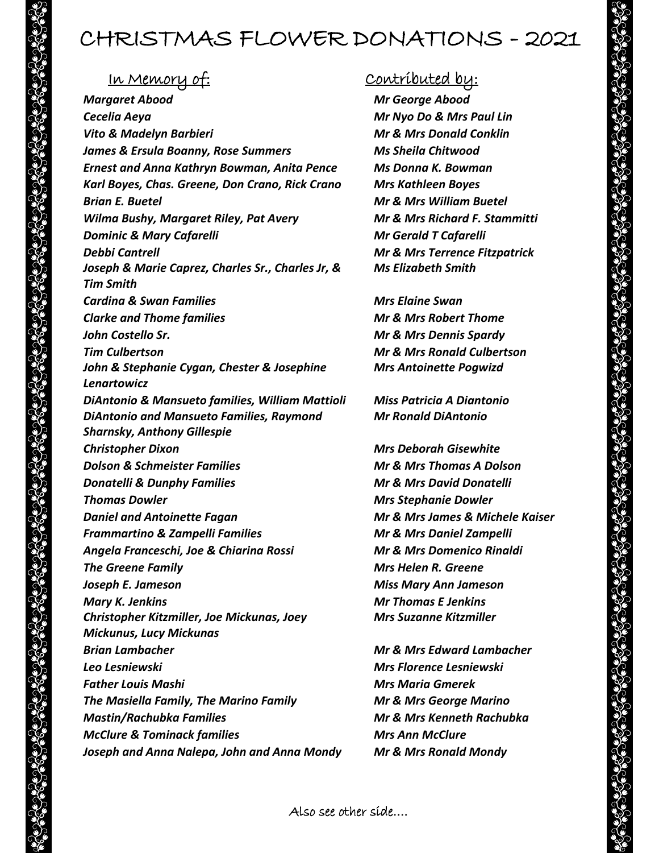## CHRISTMAS FLOWER DONATIONS - 2021

*Margaret Abood Mr George Abood Cecelia Aeya Mr Nyo Do & Mrs Paul Lin Vito & Madelyn Barbieri Mr & Mrs Donald Conklin James & Ersula Boanny, Rose Summers Ms Sheila Chitwood Ernest and Anna Kathryn Bowman, Anita Pence Ms Donna K. Bowman Karl Boyes, Chas. Greene, Don Crano, Rick Crano Mrs Kathleen Boyes Brian E. Buetel Mr & Mrs William Buetel Wilma Bushy, Margaret Riley, Pat Avery Mr & Mrs Richard F. Stammitti Dominic & Mary Cafarelli Mr Gerald T Cafarelli Debbi Cantrell Mr & Mrs Terrence Fitzpatrick Joseph & Marie Caprez, Charles Sr., Charles Jr, & Tim Smith Cardina & Swan Families Mrs Elaine Swan Clarke and Thome families Mr & Mrs Robert Thome John Costello Sr. Mr & Mrs Dennis Spardy Tim Culbertson Mr & Mrs Ronald Culbertson John & Stephanie Cygan, Chester & Josephine Lenartowicz DiAntonio & Mansueto families, William Mattioli Miss Patricia A Diantonio DiAntonio and Mansueto Families, Raymond Sharnsky, Anthony Gillespie Christopher Dixon Mrs Deborah Gisewhite Dolson & Schmeister Families Mr & Mrs Thomas A Dolson Donatelli & Dunphy Families Mr & Mrs David Donatelli Thomas Dowler Mrs Stephanie Dowler Daniel and Antoinette Fagan Mr & Mrs James & Michele Kaiser Frammartino & Zampelli Families Mr & Mrs Daniel Zampelli Angela Franceschi, Joe & Chiarina Rossi Mr & Mrs Domenico Rinaldi The Greene Family Mrs Helen R. Greene Joseph E. Jameson Miss Mary Ann Jameson Mary K. Jenkins Mr Thomas E Jenkins Christopher Kitzmiller, Joe Mickunas, Joey Mickunus, Lucy Mickunas Brian Lambacher Mr & Mrs Edward Lambacher Leo Lesniewski Mrs Florence Lesniewski Father Louis Mashi Mrs Maria Gmerek The Masiella Family, The Marino Family Mr & Mrs George Marino Mastin/Rachubka Families Mr & Mrs Kenneth Rachubka McClure & Tominack families Mrs Ann McClure Joseph and Anna Nalepa, John and Anna Mondy Mr & Mrs Ronald Mondy*

## In Memory of: Contributed by:

*Ms Elizabeth Smith*

*Mrs Antoinette Pogwizd*

*Mr Ronald DiAntonio*

*Mrs Suzanne Kitzmiller*

Also see other side….